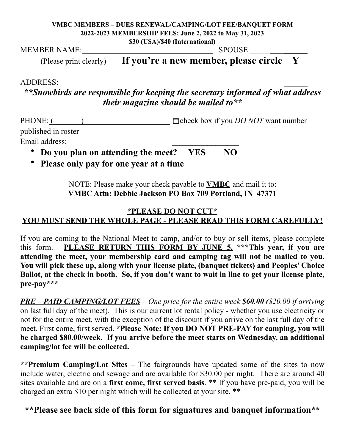## **VMBC MEMBERS – DUES RENEWAL/CAMPING/LOT FEE/BANQUET FORM 2022-2023 MEMBERSHIP FEES: June 2, 2022 to May 31, 2023 \$30 (USA)/\$40 (International)**

MEMBER NAME: SPOUSE:\_\_\_\_\_ \_\_\_\_\_\_

(Please print clearly) **If you're a new member, please circle Y** 

ADDRESS: \_\_\_\_\_\_

*\*\*Snowbirds are responsible for keeping the secretary informed of what address their magazine should be mailed to\*\** 

PHONE: ( ) □ check box if you *DO NOT* want number published in roster Email address: \_\_\_\_\_\_\_\_\_\_\_\_\_\_\_\_\_

- **Do you plan on attending the meet? YES NO**
- **Please only pay for one year at a time**

NOTE: Please make your check payable to **VMBC** and mail it to: **VMBC Attn: Debbie Jackson PO Box 709 Portland, IN 47371** 

## **\*PLEASE DO NOT CUT\* YOU MUST SEND THE WHOLE PAGE - PLEASE READ THIS FORM CAREFULLY!**

If you are coming to the National Meet to camp, and/or to buy or sell items, please complete this form. **PLEASE RETURN THIS FORM BY JUNE 5. \*\*\*This year, if you are attending the meet, your membership card and camping tag will not be mailed to you. You will pick these up, along with your license plate, (banquet tickets) and Peoples' Choice Ballot, at the check in booth. So, if you don't want to wait in line to get your license plate, pre-pay\*\*\*** 

*PRE – PAID CAMPING/LOT FEES – One price for the entire week \$60.00 (\$20.00 if arriving* on last full day of the meet). This is our current lot rental policy - whether you use electricity or not for the entire meet, with the exception of the discount if you arrive on the last full day of the meet. First come, first served. **\*Please Note: If you DO NOT PRE-PAY for camping, you will be charged \$80.00/week. If you arrive before the meet starts on Wednesday, an additional camping/lot fee will be collected.** 

**\*\*Premium Camping/Lot Sites –** The fairgrounds have updated some of the sites to now include water, electric and sewage and are available for \$30.00 per night. There are around 40 sites available and are on a **first come, first served basis**. \*\* If you have pre-paid, you will be charged an extra \$10 per night which will be collected at your site. \*\*

**\*\*Please see back side of this form for signatures and banquet information\*\***